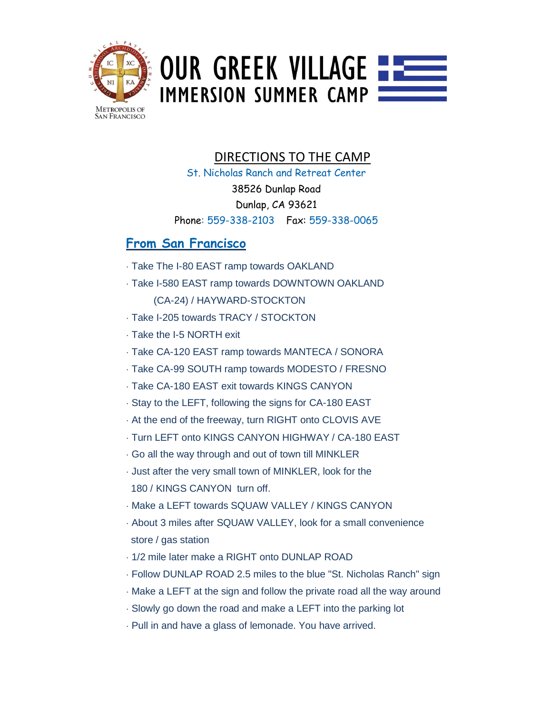

## **OUR GREEK VILLAGE ----IMMERSION SUMMER CAMP**

#### DIRECTIONS TO THE CAMP

St. Nicholas Ranch and Retreat Center 38526 Dunlap Road Dunlap, CA 93621 Phone: 559-338-2103 Fax: 559-338-0065

#### **From San Francisco**

- · Take The I-80 EAST ramp towards OAKLAND
- · Take I-580 EAST ramp towards DOWNTOWN OAKLAND (CA-24) / HAYWARD-STOCKTON
- · Take I-205 towards TRACY / STOCKTON
- · Take the I-5 NORTH exit
- · Take CA-120 EAST ramp towards MANTECA / SONORA
- · Take CA-99 SOUTH ramp towards MODESTO / FRESNO
- · Take CA-180 EAST exit towards KINGS CANYON
- · Stay to the LEFT, following the signs for CA-180 EAST
- · At the end of the freeway, turn RIGHT onto CLOVIS AVE
- · Turn LEFT onto KINGS CANYON HIGHWAY / CA-180 EAST
- · Go all the way through and out of town till MINKLER
- · Just after the very small town of MINKLER, look for the 180 / KINGS CANYON turn off.
- · Make a LEFT towards SQUAW VALLEY / KINGS CANYON
- · About 3 miles after SQUAW VALLEY, look for a small convenience store / gas station
- · 1/2 mile later make a RIGHT onto DUNLAP ROAD
- · Follow DUNLAP ROAD 2.5 miles to the blue "St. Nicholas Ranch" sign
- · Make a LEFT at the sign and follow the private road all the way around
- · Slowly go down the road and make a LEFT into the parking lot
- · Pull in and have a glass of lemonade. You have arrived.